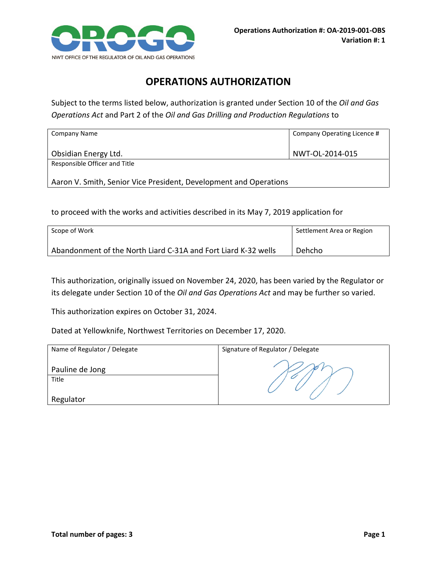

## **OPERATIONS AUTHORIZATION**

Subject to the terms listed below, authorization is granted under Section 10 of the *Oil and Gas Operations Act* and Part 2 of the *Oil and Gas Drilling and Production Regulations* to

| Company Name                                                      | Company Operating Licence # |  |
|-------------------------------------------------------------------|-----------------------------|--|
| Obsidian Energy Ltd.                                              | NWT-OL-2014-015             |  |
| Responsible Officer and Title                                     |                             |  |
| Aaron V. Smith, Senior Vice President, Development and Operations |                             |  |

to proceed with the works and activities described in its May 7, 2019 application for

| Scope of Work                                                  | Settlement Area or Region |
|----------------------------------------------------------------|---------------------------|
| Abandonment of the North Liard C-31A and Fort Liard K-32 wells | Dehcho                    |

This authorization, originally issued on November 24, 2020, has been varied by the Regulator or its delegate under Section 10 of the *Oil and Gas Operations Act* and may be further so varied.

This authorization expires on October 31, 2024.

Dated at Yellowknife, Northwest Territories on December 17, 2020.

| Name of Regulator / Delegate | Signature of Regulator / Delegate |
|------------------------------|-----------------------------------|
| Pauline de Jong<br>Title     |                                   |
| Regulator                    |                                   |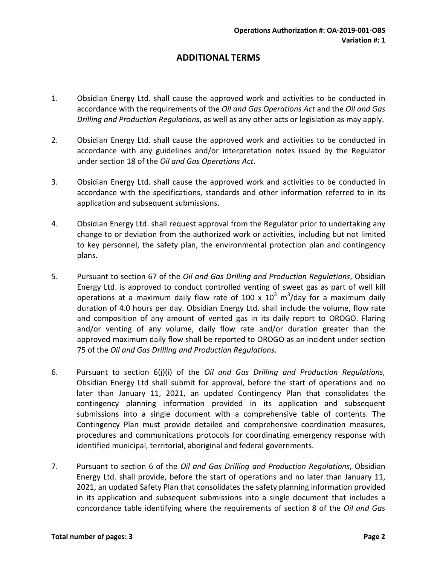## **ADDITIONAL TERMS**

- 1. Obsidian Energy Ltd. shall cause the approved work and activities to be conducted in accordance with the requirements of the *Oil and Gas Operations Act* and the *Oil and Gas Drilling and Production Regulations*, as well as any other acts or legislation as may apply.
- 2. Obsidian Energy Ltd. shall cause the approved work and activities to be conducted in accordance with any guidelines and/or interpretation notes issued by the Regulator under section 18 of the *Oil and Gas Operations Act*.
- 3. Obsidian Energy Ltd. shall cause the approved work and activities to be conducted in accordance with the specifications, standards and other information referred to in its application and subsequent submissions.
- 4. Obsidian Energy Ltd. shall request approval from the Regulator prior to undertaking any change to or deviation from the authorized work or activities, including but not limited to key personnel, the safety plan, the environmental protection plan and contingency plans.
- 5. Pursuant to section 67 of the *Oil and Gas Drilling and Production Regulations*, Obsidian Energy Ltd. is approved to conduct controlled venting of sweet gas as part of well kill operations at a maximum daily flow rate of 100 x  $10^3$  m<sup>3</sup>/day for a maximum daily duration of 4.0 hours per day. Obsidian Energy Ltd. shall include the volume, flow rate and composition of any amount of vented gas in its daily report to OROGO. Flaring and/or venting of any volume, daily flow rate and/or duration greater than the approved maximum daily flow shall be reported to OROGO as an incident under section 75 of the *Oil and Gas Drilling and Production Regulations*.
- 6. Pursuant to section 6(j)(i) of the *Oil and Gas Drilling and Production Regulations,* Obsidian Energy Ltd shall submit for approval, before the start of operations and no later than January 11, 2021, an updated Contingency Plan that consolidates the contingency planning information provided in its application and subsequent submissions into a single document with a comprehensive table of contents. The Contingency Plan must provide detailed and comprehensive coordination measures, procedures and communications protocols for coordinating emergency response with identified municipal, territorial, aboriginal and federal governments.
- 7. Pursuant to section 6 of the *Oil and Gas Drilling and Production Regulations*, Obsidian Energy Ltd. shall provide, before the start of operations and no later than January 11, 2021, an updated Safety Plan that consolidates the safety planning information provided in its application and subsequent submissions into a single document that includes a concordance table identifying where the requirements of section 8 of the *Oil and Gas*